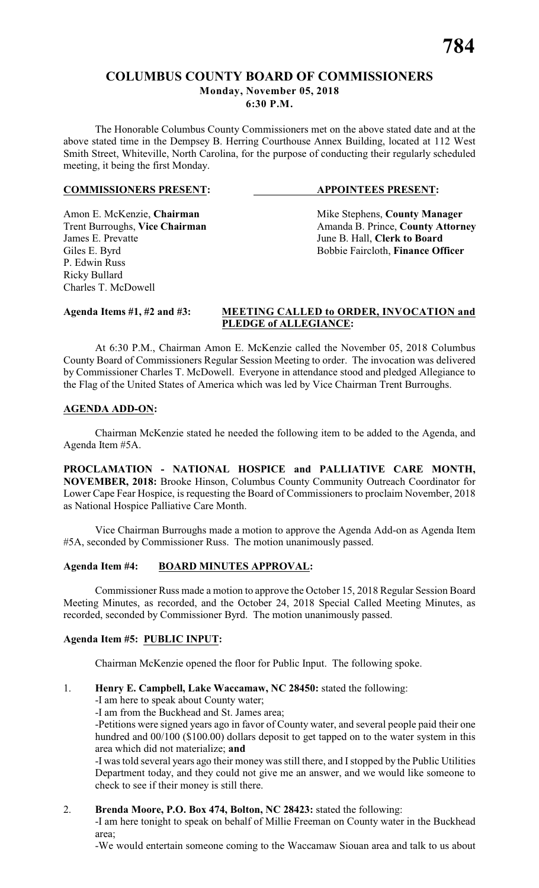### **COLUMBUS COUNTY BOARD OF COMMISSIONERS Monday, November 05, 2018 6:30 P.M.**

The Honorable Columbus County Commissioners met on the above stated date and at the above stated time in the Dempsey B. Herring Courthouse Annex Building, located at 112 West Smith Street, Whiteville, North Carolina, for the purpose of conducting their regularly scheduled meeting, it being the first Monday.

#### **COMMISSIONERS PRESENT: APPOINTEES PRESENT:**

P. Edwin Russ Ricky Bullard Charles T. McDowell

Amon E. McKenzie, **Chairman** Mike Stephens, **County Manager** <br>
Trent Burroughs, **Vice Chairman** Amanda B. Prince, **County Attorn** Trent Burroughs, **Vice Chairman** Amanda B. Prince, **County Attorney**<br>James E. Prevatte June B. Hall, **Clerk to Board** June B. Hall, **Clerk to Board** Giles E. Byrd Bobbie Faircloth, **Finance Officer** 

#### **Agenda Items #1, #2 and #3: MEETING CALLED to ORDER, INVOCATION and PLEDGE of ALLEGIANCE:**

At 6:30 P.M., Chairman Amon E. McKenzie called the November 05, 2018 Columbus County Board of Commissioners Regular Session Meeting to order. The invocation was delivered by Commissioner Charles T. McDowell. Everyone in attendance stood and pledged Allegiance to the Flag of the United States of America which was led by Vice Chairman Trent Burroughs.

#### **AGENDA ADD-ON:**

Chairman McKenzie stated he needed the following item to be added to the Agenda, and Agenda Item #5A.

**PROCLAMATION - NATIONAL HOSPICE and PALLIATIVE CARE MONTH, NOVEMBER, 2018:** Brooke Hinson, Columbus County Community Outreach Coordinator for Lower Cape Fear Hospice, is requesting the Board of Commissioners to proclaim November, 2018 as National Hospice Palliative Care Month.

Vice Chairman Burroughs made a motion to approve the Agenda Add-on as Agenda Item #5A, seconded by Commissioner Russ. The motion unanimously passed.

### **Agenda Item #4: BOARD MINUTES APPROVAL:**

Commissioner Russ made a motion to approve the October 15, 2018 Regular Session Board Meeting Minutes, as recorded, and the October 24, 2018 Special Called Meeting Minutes, as recorded, seconded by Commissioner Byrd. The motion unanimously passed.

### **Agenda Item #5: PUBLIC INPUT:**

Chairman McKenzie opened the floor for Public Input. The following spoke.

### 1. **Henry E. Campbell, Lake Waccamaw, NC 28450:** stated the following:

- -I am here to speak about County water;
- -I am from the Buckhead and St. James area;

-Petitions were signed years ago in favor of County water, and several people paid their one hundred and  $00/100$  (\$100.00) dollars deposit to get tapped on to the water system in this area which did not materialize; **and**

-I was told several years ago their money was still there, and I stopped by the Public Utilities Department today, and they could not give me an answer, and we would like someone to check to see if their money is still there.

### 2. **Brenda Moore, P.O. Box 474, Bolton, NC 28423:** stated the following:

-I am here tonight to speak on behalf of Millie Freeman on County water in the Buckhead area;

-We would entertain someone coming to the Waccamaw Siouan area and talk to us about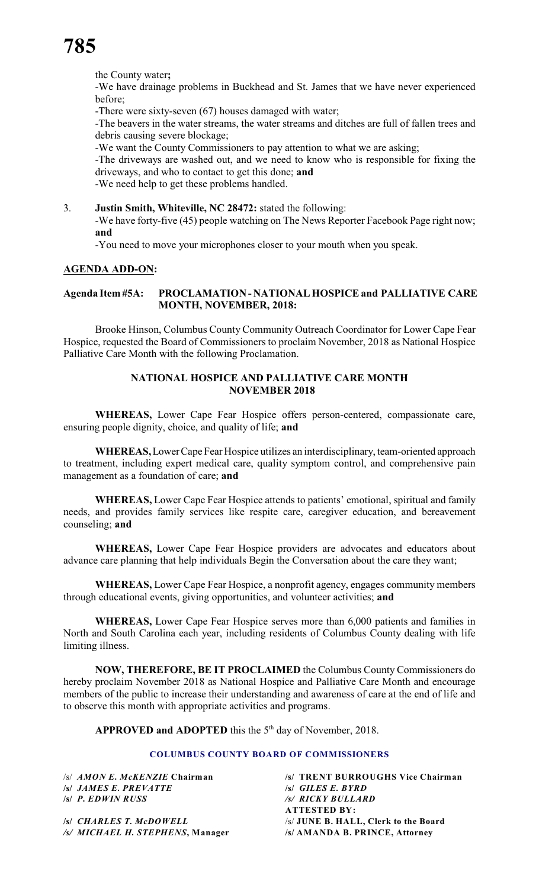the County water**;**

-We have drainage problems in Buckhead and St. James that we have never experienced before;

-There were sixty-seven (67) houses damaged with water;

-The beavers in the water streams, the water streams and ditches are full of fallen trees and debris causing severe blockage;

-We want the County Commissioners to pay attention to what we are asking;

-The driveways are washed out, and we need to know who is responsible for fixing the driveways, and who to contact to get this done; **and**

-We need help to get these problems handled.

3. **Justin Smith, Whiteville, NC 28472:** stated the following:

-We have forty-five (45) people watching on The News Reporter Facebook Page right now; **and**

-You need to move your microphones closer to your mouth when you speak.

#### **AGENDA ADD-ON:**

#### **Agenda Item #5A: PROCLAMATION - NATIONAL HOSPICE and PALLIATIVE CARE MONTH, NOVEMBER, 2018:**

Brooke Hinson, Columbus County Community Outreach Coordinator for Lower Cape Fear Hospice, requested the Board of Commissioners to proclaim November, 2018 as National Hospice Palliative Care Month with the following Proclamation.

#### **NATIONAL HOSPICE AND PALLIATIVE CARE MONTH NOVEMBER 2018**

**WHEREAS,** Lower Cape Fear Hospice offers person-centered, compassionate care, ensuring people dignity, choice, and quality of life; **and**

**WHEREAS,** Lower Cape Fear Hospice utilizes an interdisciplinary, team-oriented approach to treatment, including expert medical care, quality symptom control, and comprehensive pain management as a foundation of care; **and**

**WHEREAS,** Lower Cape Fear Hospice attends to patients' emotional, spiritual and family needs, and provides family services like respite care, caregiver education, and bereavement counseling; **and**

**WHEREAS,** Lower Cape Fear Hospice providers are advocates and educators about advance care planning that help individuals Begin the Conversation about the care they want;

**WHEREAS,** Lower Cape Fear Hospice, a nonprofit agency, engages community members through educational events, giving opportunities, and volunteer activities; **and**

**WHEREAS,** Lower Cape Fear Hospice serves more than 6,000 patients and families in North and South Carolina each year, including residents of Columbus County dealing with life limiting illness.

**NOW, THEREFORE, BE IT PROCLAIMED** the Columbus County Commissioners do hereby proclaim November 2018 as National Hospice and Palliative Care Month and encourage members of the public to increase their understanding and awareness of care at the end of life and to observe this month with appropriate activities and programs.

**APPROVED and ADOPTED** this the  $5<sup>th</sup>$  day of November, 2018.

#### **COLUMBUS COUNTY BOARD OF COMMISSIONERS**

/s/ *AMON E. McKENZIE* **Chairman /s/ TRENT BURROUGHS Vice Chairman /s/** *JAMES E. PREVATTE* **/s/** *GILES E. BYRD* **/s/** *P. EDWIN RUSS /s/ RICKY BULLARD*

**ATTESTED BY:**

**/s/** *CHARLES T. McDOWELL* /s/ **JUNE B. HALL, Clerk to the Board** */s/ MICHAEL H. STEPHENS***, Manager /s/ AMANDA B. PRINCE, Attorney**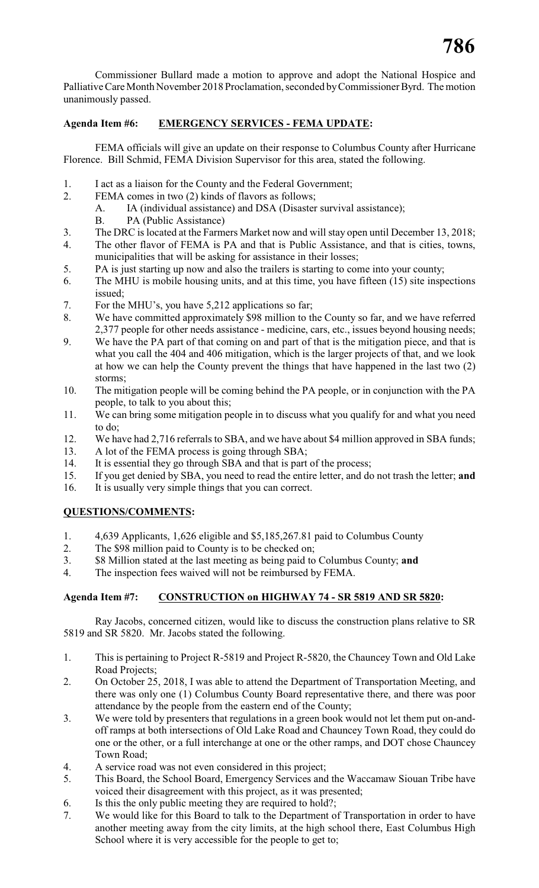Commissioner Bullard made a motion to approve and adopt the National Hospice and Palliative Care Month November 2018 Proclamation, seconded by Commissioner Byrd. The motion unanimously passed.

### **Agenda Item #6: EMERGENCY SERVICES - FEMA UPDATE:**

FEMA officials will give an update on their response to Columbus County after Hurricane Florence. Bill Schmid, FEMA Division Supervisor for this area, stated the following.

- 1. I act as a liaison for the County and the Federal Government;
- 2. FEMA comes in two (2) kinds of flavors as follows;
	- A. IA (individual assistance) and DSA (Disaster survival assistance);
	- B. PA (Public Assistance)
- 3. The DRC is located at the Farmers Market now and will stay open until December 13, 2018;
- 4. The other flavor of FEMA is PA and that is Public Assistance, and that is cities, towns, municipalities that will be asking for assistance in their losses;
- 5. PA is just starting up now and also the trailers is starting to come into your county;
- 6. The MHU is mobile housing units, and at this time, you have fifteen (15) site inspections issued;
- 7. For the MHU's, you have 5,212 applications so far;
- 8. We have committed approximately \$98 million to the County so far, and we have referred 2,377 people for other needs assistance - medicine, cars, etc., issues beyond housing needs;
- 9. We have the PA part of that coming on and part of that is the mitigation piece, and that is what you call the 404 and 406 mitigation, which is the larger projects of that, and we look at how we can help the County prevent the things that have happened in the last two (2) storms;
- 10. The mitigation people will be coming behind the PA people, or in conjunction with the PA people, to talk to you about this;
- 11. We can bring some mitigation people in to discuss what you qualify for and what you need to do;
- 12. We have had 2,716 referrals to SBA, and we have about \$4 million approved in SBA funds;
- 13. A lot of the FEMA process is going through SBA;
- 14. It is essential they go through SBA and that is part of the process;
- 15. If you get denied by SBA, you need to read the entire letter, and do not trash the letter; **and**
- 16. It is usually very simple things that you can correct.

### **QUESTIONS/COMMENTS:**

- 1. 4,639 Applicants, 1,626 eligible and \$5,185,267.81 paid to Columbus County
- 2. The \$98 million paid to County is to be checked on;
- 3. \$8 Million stated at the last meeting as being paid to Columbus County; **and**
- 4. The inspection fees waived will not be reimbursed by FEMA.

### **Agenda Item #7: CONSTRUCTION on HIGHWAY 74 - SR 5819 AND SR 5820:**

Ray Jacobs, concerned citizen, would like to discuss the construction plans relative to SR 5819 and SR 5820. Mr. Jacobs stated the following.

- 1. This is pertaining to Project R-5819 and Project R-5820, the Chauncey Town and Old Lake Road Projects;
- 2. On October 25, 2018, I was able to attend the Department of Transportation Meeting, and there was only one (1) Columbus County Board representative there, and there was poor attendance by the people from the eastern end of the County;
- 3. We were told by presenters that regulations in a green book would not let them put on-andoff ramps at both intersections of Old Lake Road and Chauncey Town Road, they could do one or the other, or a full interchange at one or the other ramps, and DOT chose Chauncey Town Road;
- 4. A service road was not even considered in this project;
- 5. This Board, the School Board, Emergency Services and the Waccamaw Siouan Tribe have voiced their disagreement with this project, as it was presented;
- 6. Is this the only public meeting they are required to hold?;
- 7. We would like for this Board to talk to the Department of Transportation in order to have another meeting away from the city limits, at the high school there, East Columbus High School where it is very accessible for the people to get to;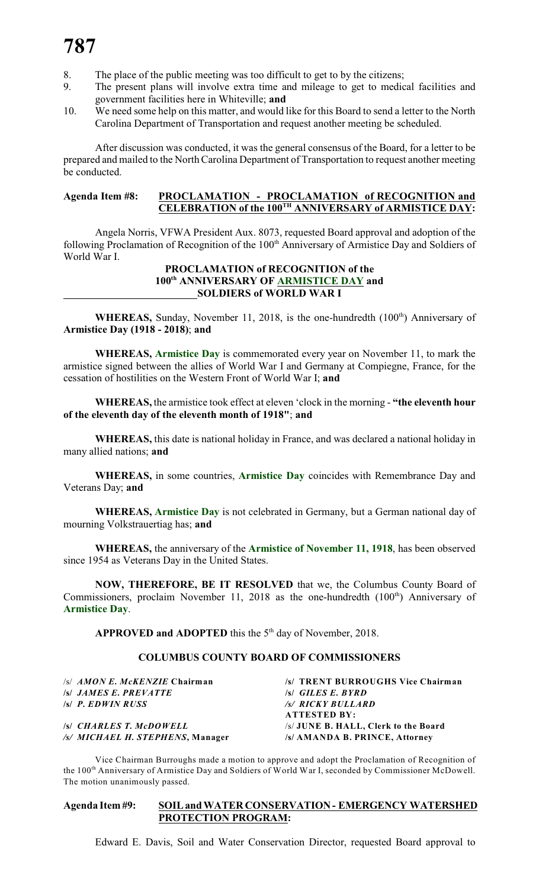- 8. The place of the public meeting was too difficult to get to by the citizens;
- 9. The present plans will involve extra time and mileage to get to medical facilities and government facilities here in Whiteville; **and**
- 10. We need some help on this matter, and would like for this Board to send a letter to the North Carolina Department of Transportation and request another meeting be scheduled.

After discussion was conducted, it was the general consensus of the Board, for a letter to be prepared and mailed to the North Carolina Department of Transportation to request another meeting be conducted.

#### **Agenda Item #8: PROCLAMATION - PROCLAMATION of RECOGNITION and CELEBRATION of the 100<sup>TH</sup> ANNIVERSARY of ARMISTICE DAY:**

Angela Norris, VFWA President Aux. 8073, requested Board approval and adoption of the following Proclamation of Recognition of the 100<sup>th</sup> Anniversary of Armistice Day and Soldiers of World War I.

#### **PROCLAMATION of RECOGNITION of the** 100<sup>th</sup> ANNIVERSARY OF ARMISTICE DAY and **SOLDIERS of WORLD WAR I**

**WHEREAS,** Sunday, November 11, 2018, is the one-hundredth (100<sup>th</sup>) Anniversary of **Armistice Day (1918 - 2018)**; **and**

**WHEREAS, Armistice Day** is commemorated every year on November 11, to mark the armistice signed between the allies of World War I and Germany at Compiegne, France, for the cessation of hostilities on the Western Front of World War I; **and**

**WHEREAS,** the armistice took effect at eleven 'clock in the morning - **"the eleventh hour of the eleventh day of the eleventh month of 1918"**; **and**

**WHEREAS,** this date is national holiday in France, and was declared a national holiday in many allied nations; **and**

**WHEREAS,** in some countries, **Armistice Day** coincides with Remembrance Day and Veterans Day; **and**

**WHEREAS, Armistice Day** is not celebrated in Germany, but a German national day of mourning Volkstrauertiag has; **and**

**WHEREAS,** the anniversary of the **Armistice of November 11, 1918**, has been observed since 1954 as Veterans Day in the United States.

**NOW, THEREFORE, BE IT RESOLVED** that we, the Columbus County Board of Commissioners, proclaim November 11, 2018 as the one-hundredth  $(100<sup>th</sup>)$  Anniversary of **Armistice Day**.

**APPROVED and ADOPTED** this the  $5<sup>th</sup>$  day of November, 2018.

#### **COLUMBUS COUNTY BOARD OF COMMISSIONERS**

| $\sqrt{s}/AMONE$ . McKENZIE Chairman | /s/ TRENT BURROUGHS Vice Chairman    |
|--------------------------------------|--------------------------------------|
| <i>S JAMES E. PREVATTE</i>           | $\mathcal{S}$ GILES E. BYRD          |
| $\sqrt{s}$ P. EDWIN RUSS             | /s/ RICKY BULLARD                    |
|                                      | <b>ATTESTED BY:</b>                  |
| <b>SSI CHARLES T. McDOWELL</b>       | /s/ JUNE B. HALL, Clerk to the Board |
| /s/ MICHAEL H. STEPHENS, Manager     | /s/ AMANDA B. PRINCE. Attorney       |

Vice Chairman Burroughs made a motion to approve and adopt the Proclamation of Recognition of the 100<sup>th</sup> Anniversary of Armistice Day and Soldiers of World War I, seconded by Commissioner McDowell. The motion unanimously passed.

#### **Agenda Item #9: SOIL and WATER CONSERVATION - EMERGENCY WATERSHED PROTECTION PROGRAM:**

Edward E. Davis, Soil and Water Conservation Director, requested Board approval to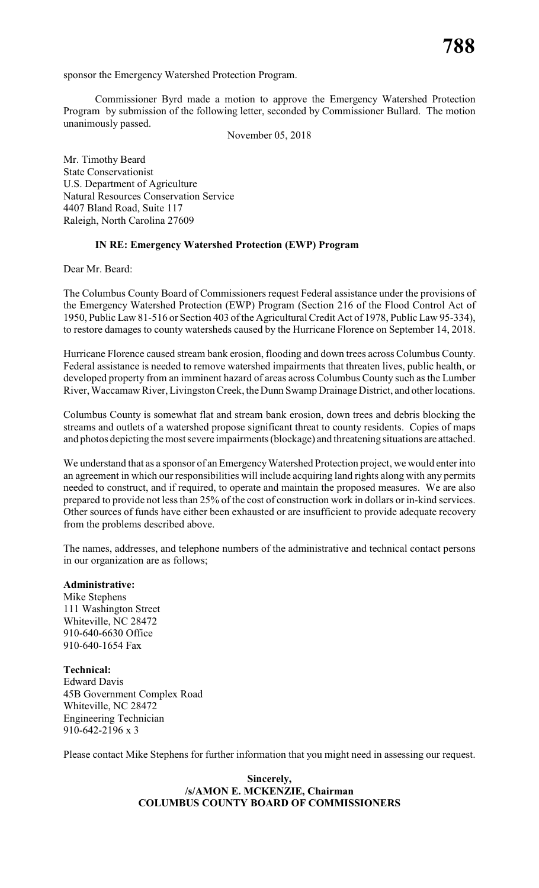sponsor the Emergency Watershed Protection Program.

Commissioner Byrd made a motion to approve the Emergency Watershed Protection Program by submission of the following letter, seconded by Commissioner Bullard. The motion unanimously passed.

November 05, 2018

Mr. Timothy Beard State Conservationist U.S. Department of Agriculture Natural Resources Conservation Service 4407 Bland Road, Suite 117 Raleigh, North Carolina 27609

#### **IN RE: Emergency Watershed Protection (EWP) Program**

Dear Mr. Beard:

The Columbus County Board of Commissioners request Federal assistance under the provisions of the Emergency Watershed Protection (EWP) Program (Section 216 of the Flood Control Act of 1950, Public Law 81-516 or Section 403 of the Agricultural Credit Act of 1978, Public Law 95-334), to restore damages to county watersheds caused by the Hurricane Florence on September 14, 2018.

Hurricane Florence caused stream bank erosion, flooding and down trees across Columbus County. Federal assistance is needed to remove watershed impairments that threaten lives, public health, or developed property from an imminent hazard of areas across Columbus County such as the Lumber River, Waccamaw River, Livingston Creek, the Dunn Swamp Drainage District, and other locations.

Columbus County is somewhat flat and stream bank erosion, down trees and debris blocking the streams and outlets of a watershed propose significant threat to county residents. Copies of maps and photos depicting the most severe impairments (blockage) and threatening situations are attached.

We understand that as a sponsor of an Emergency Watershed Protection project, we would enter into an agreement in which our responsibilities will include acquiring land rights along with any permits needed to construct, and if required, to operate and maintain the proposed measures. We are also prepared to provide not less than 25% of the cost of construction work in dollars or in-kind services. Other sources of funds have either been exhausted or are insufficient to provide adequate recovery from the problems described above.

The names, addresses, and telephone numbers of the administrative and technical contact persons in our organization are as follows;

#### **Administrative:**

Mike Stephens 111 Washington Street Whiteville, NC 28472 910-640-6630 Office 910-640-1654 Fax

**Technical:** Edward Davis 45B Government Complex Road Whiteville, NC 28472 Engineering Technician 910-642-2196 x 3

Please contact Mike Stephens for further information that you might need in assessing our request.

#### **Sincerely, /s/AMON E. MCKENZIE, Chairman COLUMBUS COUNTY BOARD OF COMMISSIONERS**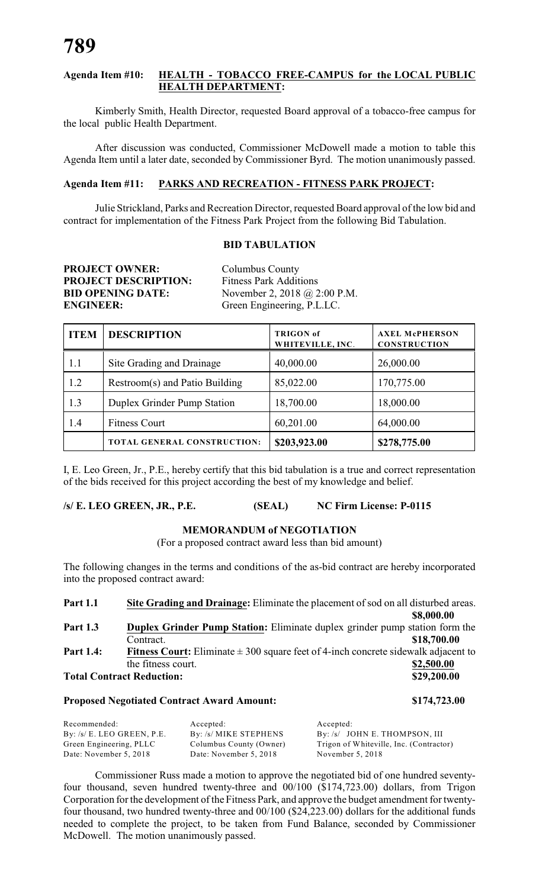#### **Agenda Item #10: HEALTH - TOBACCO FREE-CAMPUS for the LOCAL PUBLIC HEALTH DEPARTMENT:**

Kimberly Smith, Health Director, requested Board approval of a tobacco-free campus for the local public Health Department.

After discussion was conducted, Commissioner McDowell made a motion to table this Agenda Item until a later date, seconded by Commissioner Byrd. The motion unanimously passed.

#### **Agenda Item #11: PARKS AND RECREATION - FITNESS PARK PROJECT:**

Julie Strickland, Parks and Recreation Director, requested Board approval of the low bid and contract for implementation of the Fitness Park Project from the following Bid Tabulation.

#### **BID TABULATION**

| <b>PROJECT OWNER:</b>       |
|-----------------------------|
| <b>PROJECT DESCRIPTION:</b> |
| <b>BID OPENING DATE:</b>    |
| <b>ENGINEER:</b>            |

**Columbus County Fitness Park Additions BIDD** November 2, 2018 @ 2:00 P.M. Green Engineering, P.L.LC.

| <b>ITEM</b> | <b>DESCRIPTION</b>             | <b>TRIGON</b> of<br>WHITEVILLE, INC. | <b>AXEL McPHERSON</b><br><b>CONSTRUCTION</b> |  |
|-------------|--------------------------------|--------------------------------------|----------------------------------------------|--|
| 1.1         | Site Grading and Drainage      | 40,000.00                            | 26,000.00                                    |  |
| 1.2         | Restroom(s) and Patio Building | 85,022.00                            | 170,775.00                                   |  |
| 1.3         | Duplex Grinder Pump Station    | 18,700.00                            | 18,000.00                                    |  |
| 1.4         | <b>Fitness Court</b>           | 60,201.00                            | 64,000.00                                    |  |
|             | TOTAL GENERAL CONSTRUCTION:    | \$203,923.00                         | \$278,775.00                                 |  |

I, E. Leo Green, Jr., P.E., hereby certify that this bid tabulation is a true and correct representation of the bids received for this project according the best of my knowledge and belief.

#### **/s/ E. LEO GREEN, JR., P.E. (SEAL) NC Firm License: P-0115**

#### **MEMORANDUM of NEGOTIATION**

(For a proposed contract award less than bid amount)

The following changes in the terms and conditions of the as-bid contract are hereby incorporated into the proposed contract award:

| <b>Part 1.1</b>  | Site Grading and Drainage: Eliminate the placement of sod on all disturbed areas.             |             |
|------------------|-----------------------------------------------------------------------------------------------|-------------|
|                  |                                                                                               | \$8,000.00  |
| <b>Part 1.3</b>  | <b>Duplex Grinder Pump Station:</b> Eliminate duplex grinder pump station form the            |             |
|                  | Contract.                                                                                     | \$18,700.00 |
| <b>Part 1.4:</b> | <b>Fitness Court:</b> Eliminate $\pm$ 300 square feet of 4-inch concrete sidewalk adjacent to |             |
|                  | the fitness court.                                                                            | \$2,500.00  |
|                  | <b>Total Contract Reduction:</b>                                                              | \$29,200.00 |

#### **Proposed Negotiated Contract Award Amount: \$174,723.00**

Recommended: Accepted: Accepted: Accepted: Accepted: Accepted: Accepted: Accepted: By: /s/ JC By: /s/ JOHN E. THOMPSON, III Green Engineering, PLLC Columbus County (Owner) Trigon of Whiteville, Inc. (Contractor) Date: November 5, 2018 Date: November 5, 2018 November 5, 2018

Commissioner Russ made a motion to approve the negotiated bid of one hundred seventyfour thousand, seven hundred twenty-three and 00/100 (\$174,723.00) dollars, from Trigon Corporation for the development of the Fitness Park, and approve the budget amendment for twentyfour thousand, two hundred twenty-three and 00/100 (\$24,223.00) dollars for the additional funds needed to complete the project, to be taken from Fund Balance, seconded by Commissioner McDowell. The motion unanimously passed.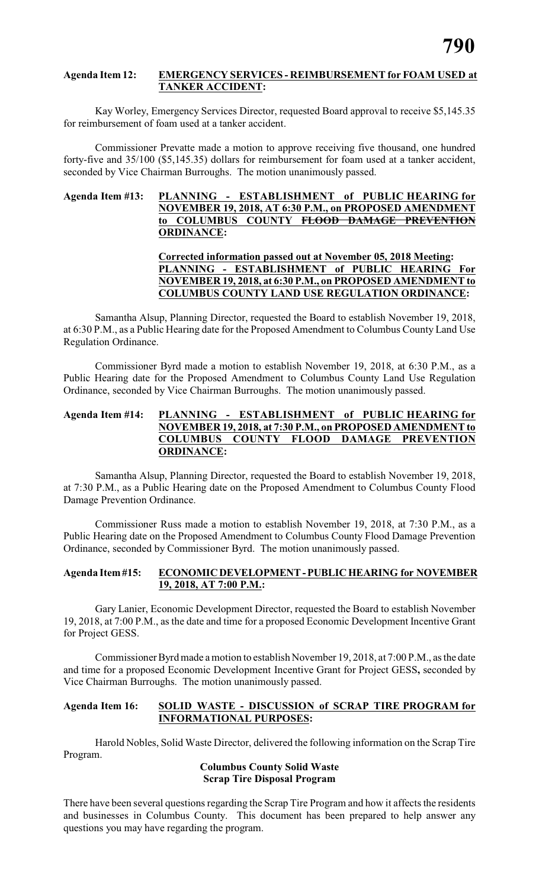#### **Agenda Item 12: EMERGENCY SERVICES - REIMBURSEMENT for FOAM USED at TANKER ACCIDENT:**

Kay Worley, Emergency Services Director, requested Board approval to receive \$5,145.35 for reimbursement of foam used at a tanker accident.

Commissioner Prevatte made a motion to approve receiving five thousand, one hundred forty-five and 35/100 (\$5,145.35) dollars for reimbursement for foam used at a tanker accident, seconded by Vice Chairman Burroughs. The motion unanimously passed.

#### **Agenda Item #13: PLANNING - ESTABLISHMENT of PUBLIC HEARING for NOVEMBER 19, 2018, AT 6:30 P.M., on PROPOSED AMENDMENT to COLUMBUS COUNTY FLOOD DAMAGE PREVENTION ORDINANCE:**

**Corrected information passed out at November 05, 2018 Meeting: PLANNING - ESTABLISHMENT of PUBLIC HEARING For NOVEMBER 19, 2018, at 6:30 P.M., on PROPOSED AMENDMENT to COLUMBUS COUNTY LAND USE REGULATION ORDINANCE:**

Samantha Alsup, Planning Director, requested the Board to establish November 19, 2018, at 6:30 P.M., as a Public Hearing date for the Proposed Amendment to Columbus County Land Use Regulation Ordinance.

Commissioner Byrd made a motion to establish November 19, 2018, at 6:30 P.M., as a Public Hearing date for the Proposed Amendment to Columbus County Land Use Regulation Ordinance, seconded by Vice Chairman Burroughs. The motion unanimously passed.

#### **Agenda Item #14: PLANNING - ESTABLISHMENT of PUBLIC HEARING for NOVEMBER 19, 2018, at 7:30 P.M., on PROPOSED AMENDMENT to COLUMBUS COUNTY FLOOD DAMAGE PREVENTION ORDINANCE:**

Samantha Alsup, Planning Director, requested the Board to establish November 19, 2018, at 7:30 P.M., as a Public Hearing date on the Proposed Amendment to Columbus County Flood Damage Prevention Ordinance.

Commissioner Russ made a motion to establish November 19, 2018, at 7:30 P.M., as a Public Hearing date on the Proposed Amendment to Columbus County Flood Damage Prevention Ordinance, seconded by Commissioner Byrd. The motion unanimously passed.

#### **Agenda Item #15: ECONOMIC DEVELOPMENT - PUBLIC HEARING for NOVEMBER 19, 2018, AT 7:00 P.M.:**

Gary Lanier, Economic Development Director, requested the Board to establish November 19, 2018, at 7:00 P.M., as the date and time for a proposed Economic Development Incentive Grant for Project GESS.

Commissioner Byrdmade a motion to establish November 19, 2018, at 7:00 P.M., as the date and time for a proposed Economic Development Incentive Grant for Project GESS**,** seconded by Vice Chairman Burroughs. The motion unanimously passed.

#### **Agenda Item 16: SOLID WASTE - DISCUSSION of SCRAP TIRE PROGRAM for INFORMATIONAL PURPOSES:**

Harold Nobles, Solid Waste Director, delivered the following information on the Scrap Tire Program.

#### **Columbus County Solid Waste Scrap Tire Disposal Program**

There have been several questions regarding the Scrap Tire Program and how it affects the residents and businesses in Columbus County. This document has been prepared to help answer any questions you may have regarding the program.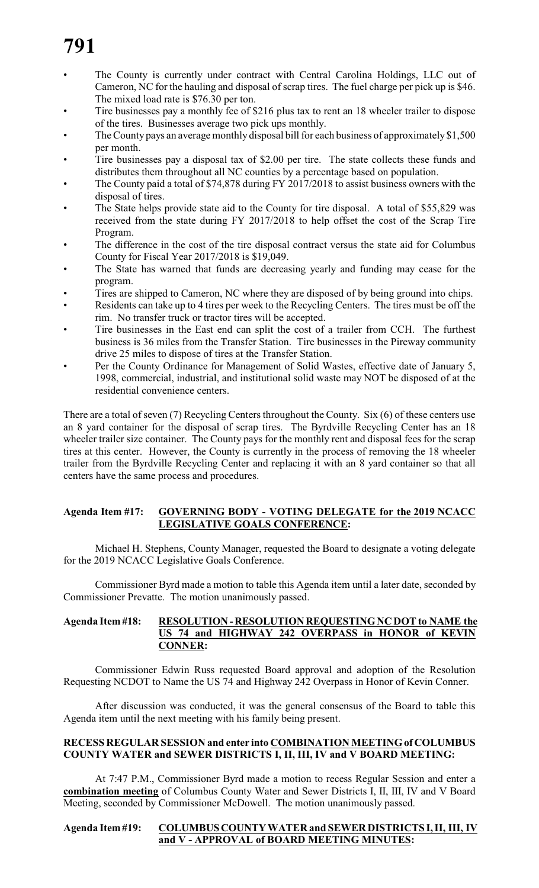- The County is currently under contract with Central Carolina Holdings, LLC out of Cameron, NC for the hauling and disposal of scrap tires. The fuel charge per pick up is \$46. The mixed load rate is \$76.30 per ton.
- Tire businesses pay a monthly fee of \$216 plus tax to rent an 18 wheeler trailer to dispose of the tires. Businesses average two pick ups monthly.
- The County pays an average monthly disposal bill for each business of approximately \$1,500 per month.
- Tire businesses pay a disposal tax of \$2.00 per tire. The state collects these funds and distributes them throughout all NC counties by a percentage based on population.
- The County paid a total of \$74,878 during FY 2017/2018 to assist business owners with the disposal of tires.
- The State helps provide state aid to the County for tire disposal. A total of \$55,829 was received from the state during FY 2017/2018 to help offset the cost of the Scrap Tire Program.
- The difference in the cost of the tire disposal contract versus the state aid for Columbus County for Fiscal Year 2017/2018 is \$19,049.
- The State has warned that funds are decreasing yearly and funding may cease for the program.
- Tires are shipped to Cameron, NC where they are disposed of by being ground into chips.
- Residents can take up to 4 tires per week to the Recycling Centers. The tires must be off the rim. No transfer truck or tractor tires will be accepted.
- Tire businesses in the East end can split the cost of a trailer from CCH. The furthest business is 36 miles from the Transfer Station. Tire businesses in the Pireway community drive 25 miles to dispose of tires at the Transfer Station.
- Per the County Ordinance for Management of Solid Wastes, effective date of January 5, 1998, commercial, industrial, and institutional solid waste may NOT be disposed of at the residential convenience centers.

There are a total of seven (7) Recycling Centers throughout the County. Six (6) of these centers use an 8 yard container for the disposal of scrap tires. The Byrdville Recycling Center has an 18 wheeler trailer size container. The County pays for the monthly rent and disposal fees for the scrap tires at this center. However, the County is currently in the process of removing the 18 wheeler trailer from the Byrdville Recycling Center and replacing it with an 8 yard container so that all centers have the same process and procedures.

### **Agenda Item #17: GOVERNING BODY - VOTING DELEGATE for the 2019 NCACC LEGISLATIVE GOALS CONFERENCE:**

Michael H. Stephens, County Manager, requested the Board to designate a voting delegate for the 2019 NCACC Legislative Goals Conference.

Commissioner Byrd made a motion to table this Agenda item until a later date, seconded by Commissioner Prevatte. The motion unanimously passed.

#### **Agenda Item #18: RESOLUTION - RESOLUTION REQUESTING NC DOT to NAME the US 74 and HIGHWAY 242 OVERPASS in HONOR of KEVIN CONNER:**

Commissioner Edwin Russ requested Board approval and adoption of the Resolution Requesting NCDOT to Name the US 74 and Highway 242 Overpass in Honor of Kevin Conner.

After discussion was conducted, it was the general consensus of the Board to table this Agenda item until the next meeting with his family being present.

#### **RECESS REGULAR SESSION and enter into COMBINATION MEETING of COLUMBUS COUNTY WATER and SEWER DISTRICTS I, II, III, IV and V BOARD MEETING:**

At 7:47 P.M., Commissioner Byrd made a motion to recess Regular Session and enter a **combination meeting** of Columbus County Water and Sewer Districts I, II, III, IV and V Board Meeting, seconded by Commissioner McDowell. The motion unanimously passed.

#### **Agenda Item #19: COLUMBUS COUNTY WATER and SEWER DISTRICTS I, II, III, IV and V - APPROVAL of BOARD MEETING MINUTES:**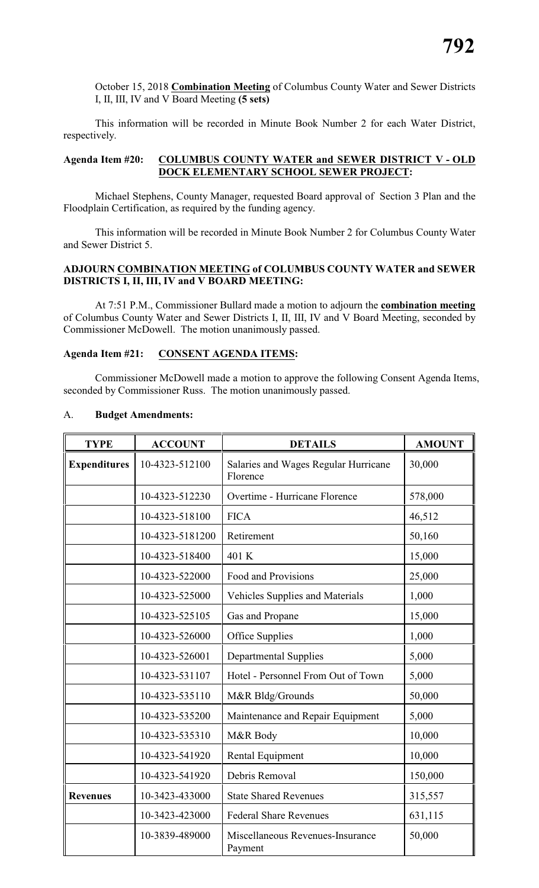October 15, 2018 **Combination Meeting** of Columbus County Water and Sewer Districts I, II, III, IV and V Board Meeting **(5 sets)**

This information will be recorded in Minute Book Number 2 for each Water District, respectively.

#### **Agenda Item #20: COLUMBUS COUNTY WATER and SEWER DISTRICT V - OLD DOCK ELEMENTARY SCHOOL SEWER PROJECT:**

Michael Stephens, County Manager, requested Board approval of Section 3 Plan and the Floodplain Certification, as required by the funding agency.

This information will be recorded in Minute Book Number 2 for Columbus County Water and Sewer District 5.

#### **ADJOURN COMBINATION MEETING of COLUMBUS COUNTY WATER and SEWER DISTRICTS I, II, III, IV and V BOARD MEETING:**

At 7:51 P.M., Commissioner Bullard made a motion to adjourn the **combination meeting** of Columbus County Water and Sewer Districts I, II, III, IV and V Board Meeting, seconded by Commissioner McDowell. The motion unanimously passed.

#### **Agenda Item #21: CONSENT AGENDA ITEMS:**

Commissioner McDowell made a motion to approve the following Consent Agenda Items, seconded by Commissioner Russ. The motion unanimously passed.

| <b>TYPE</b>         | <b>ACCOUNT</b>  | <b>DETAILS</b>                                   | <b>AMOUNT</b> |
|---------------------|-----------------|--------------------------------------------------|---------------|
| <b>Expenditures</b> | 10-4323-512100  | Salaries and Wages Regular Hurricane<br>Florence | 30,000        |
|                     | 10-4323-512230  | Overtime - Hurricane Florence                    | 578,000       |
|                     | 10-4323-518100  | <b>FICA</b>                                      | 46,512        |
|                     | 10-4323-5181200 | Retirement                                       | 50,160        |
|                     | 10-4323-518400  | 401 K                                            | 15,000        |
|                     | 10-4323-522000  | Food and Provisions                              | 25,000        |
|                     | 10-4323-525000  | <b>Vehicles Supplies and Materials</b>           | 1,000         |
|                     | 10-4323-525105  | Gas and Propane                                  | 15,000        |
|                     | 10-4323-526000  | Office Supplies                                  | 1,000         |
|                     | 10-4323-526001  | <b>Departmental Supplies</b>                     | 5,000         |
|                     | 10-4323-531107  | Hotel - Personnel From Out of Town               | 5,000         |
|                     | 10-4323-535110  | M&R Bldg/Grounds                                 | 50,000        |
|                     | 10-4323-535200  | Maintenance and Repair Equipment                 | 5,000         |
|                     | 10-4323-535310  | M&R Body                                         | 10,000        |
|                     | 10-4323-541920  | Rental Equipment                                 | 10,000        |
|                     | 10-4323-541920  | Debris Removal                                   | 150,000       |
| <b>Revenues</b>     | 10-3423-433000  | <b>State Shared Revenues</b>                     | 315,557       |
|                     | 10-3423-423000  | <b>Federal Share Revenues</b>                    | 631,115       |
|                     | 10-3839-489000  | Miscellaneous Revenues-Insurance<br>Payment      | 50,000        |

#### A. **Budget Amendments:**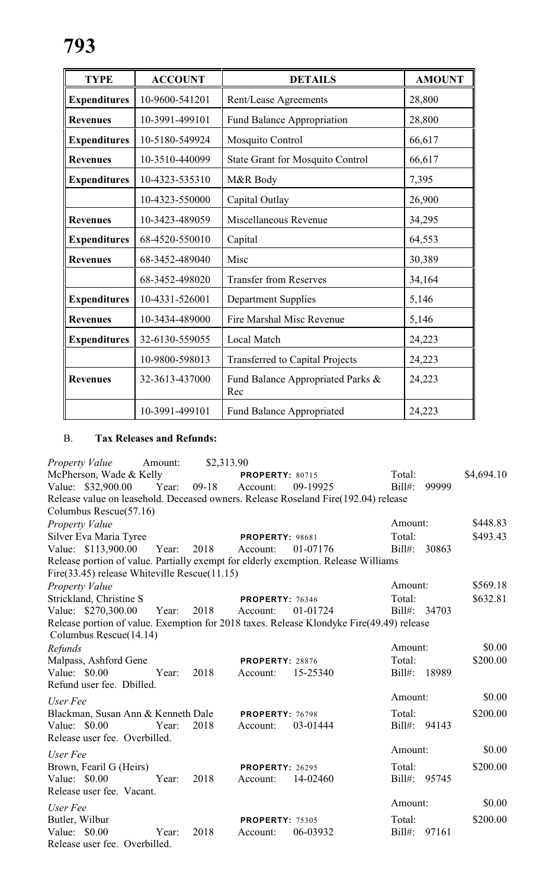| <b>TYPE</b>         | <b>ACCOUNT</b> | <b>DETAILS</b>                           | <b>AMOUNT</b> |
|---------------------|----------------|------------------------------------------|---------------|
| <b>Expenditures</b> | 10-9600-541201 | Rent/Lease Agreements                    | 28,800        |
| <b>Revenues</b>     | 10-3991-499101 | <b>Fund Balance Appropriation</b>        | 28,800        |
| <b>Expenditures</b> | 10-5180-549924 | Mosquito Control                         | 66,617        |
| <b>Revenues</b>     | 10-3510-440099 | <b>State Grant for Mosquito Control</b>  | 66,617        |
| <b>Expenditures</b> | 10-4323-535310 | M&R Body                                 | 7,395         |
|                     | 10-4323-550000 | Capital Outlay                           | 26,900        |
| <b>Revenues</b>     | 10-3423-489059 | Miscellaneous Revenue                    | 34,295        |
| <b>Expenditures</b> | 68-4520-550010 | Capital                                  | 64,553        |
| <b>Revenues</b>     | 68-3452-489040 | Misc                                     | 30,389        |
|                     | 68-3452-498020 | <b>Transfer from Reserves</b>            | 34,164        |
| <b>Expenditures</b> | 10-4331-526001 | <b>Department Supplies</b>               | 5,146         |
| <b>Revenues</b>     | 10-3434-489000 | Fire Marshal Misc Revenue                | 5,146         |
| <b>Expenditures</b> | 32-6130-559055 | Local Match                              | 24,223        |
|                     | 10-9800-598013 | <b>Transferred to Capital Projects</b>   | 24,223        |
| <b>Revenues</b>     | 32-3613-437000 | Fund Balance Appropriated Parks &<br>Rec | 24,223        |
|                     | 10-3991-499101 | Fund Balance Appropriated                | 24,223        |

### B. **Tax Releases and Refunds:**

| Property Value                                                                           | Amount: | \$2,313.90 |                        |          |           |       |            |
|------------------------------------------------------------------------------------------|---------|------------|------------------------|----------|-----------|-------|------------|
| McPherson, Wade & Kelly                                                                  |         |            | <b>PROPERTY: 80715</b> |          | Total:    |       | \$4,694.10 |
| Value: \$32,900.00 Year:                                                                 |         | $09-18$    | Account:               | 09-19925 | $Bill#$ : | 99999 |            |
| Release value on leasehold. Deceased owners. Release Roseland Fire(192.04) release       |         |            |                        |          |           |       |            |
| Columbus Rescue(57.16)                                                                   |         |            |                        |          |           |       |            |
| <b>Property Value</b>                                                                    |         |            |                        |          | Amount:   |       | \$448.83   |
| Silver Eva Maria Tyree                                                                   |         |            | <b>PROPERTY: 98681</b> |          | Total:    |       | \$493.43   |
| Value: \$113,900.00                                                                      | Year:   | 2018       | Account:               | 01-07176 | $Bill#$ : | 30863 |            |
| Release portion of value. Partially exempt for elderly exemption. Release Williams       |         |            |                        |          |           |       |            |
| Fire(33.45) release Whiteville Rescue(11.15)                                             |         |            |                        |          |           |       |            |
| Property Value                                                                           |         |            |                        |          | Amount:   |       | \$569.18   |
| Strickland, Christine S                                                                  |         |            | <b>PROPERTY: 76346</b> |          | Total:    |       | \$632.81   |
| Value: \$270,300.00                                                                      | Year:   | 2018       | Account:               | 01-01724 | $Bill#$ : | 34703 |            |
| Release portion of value. Exemption for 2018 taxes. Release Klondyke Fire(49.49) release |         |            |                        |          |           |       |            |
| Columbus Rescue(14.14)                                                                   |         |            |                        |          |           |       |            |
| Refunds                                                                                  |         |            |                        |          | Amount:   |       | \$0.00     |
| Malpass, Ashford Gene                                                                    |         |            | <b>PROPERTY: 28876</b> |          | Total:    |       | \$200.00   |
| Value: \$0.00                                                                            | Year:   | 2018       | Account:               | 15-25340 | $Bill#$ : | 18989 |            |
| Refund user fee. Dbilled.                                                                |         |            |                        |          |           |       |            |
| User Fee                                                                                 |         |            |                        |          | Amount:   |       | \$0.00     |
| Blackman, Susan Ann & Kenneth Dale                                                       |         |            | PROPERTY: 76798        |          | Total:    |       | \$200.00   |
| Value: \$0.00                                                                            | Year:   | 2018       | Account:               | 03-01444 | Bill#:    | 94143 |            |
| Release user fee. Overbilled.                                                            |         |            |                        |          |           |       |            |
| User Fee                                                                                 |         |            |                        |          | Amount:   |       | \$0.00     |
| Brown, Fearil G (Heirs)                                                                  |         |            | <b>PROPERTY: 26295</b> |          | Total:    |       | \$200.00   |
| Value: $$0.00$                                                                           | Year:   | 2018       | Account:               | 14-02460 | $Bill#$ : | 95745 |            |
| Release user fee. Vacant.                                                                |         |            |                        |          |           |       |            |
| User Fee                                                                                 |         |            |                        |          | Amount:   |       | \$0.00     |
| Butler, Wilbur                                                                           |         |            | <b>PROPERTY: 75305</b> |          | Total:    |       | \$200.00   |
| Value: \$0.00                                                                            | Year:   | 2018       | Account:               | 06-03932 | $Bill#$ : | 97161 |            |
| Release user fee. Overbilled.                                                            |         |            |                        |          |           |       |            |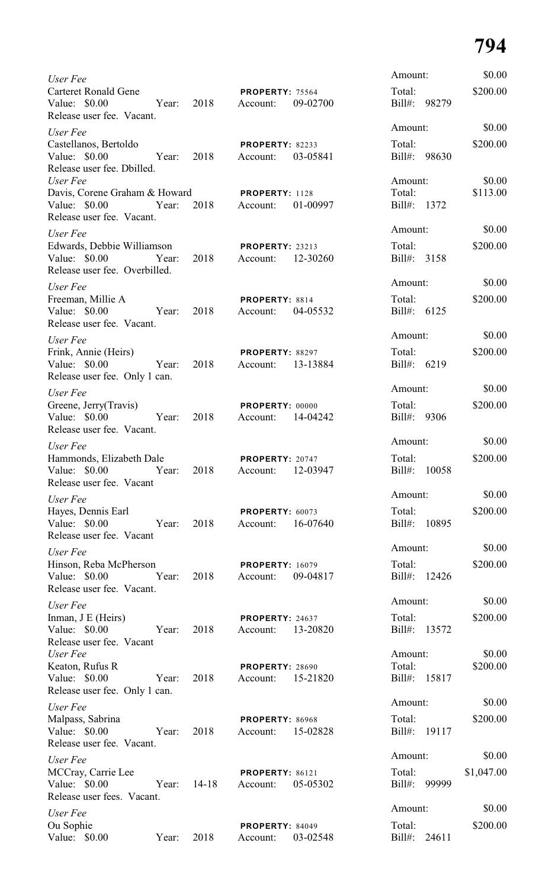| User Fee                                                                         |       |                     |                                         |          | Amount:                |       | \$0.00             |
|----------------------------------------------------------------------------------|-------|---------------------|-----------------------------------------|----------|------------------------|-------|--------------------|
| <b>Carteret Ronald Gene</b><br>Value: \$0.00<br>Release user fee. Vacant.        | Year: | 2018                | PROPERTY: 75564<br>Account:             | 09-02700 | Total:<br>Bill#: 98279 |       | \$200.00           |
| User Fee                                                                         |       |                     |                                         |          | Amount:                |       | \$0.00             |
| Castellanos, Bertoldo<br>Value: \$0.00<br>Release user fee. Dbilled.<br>User Fee | Year: | 2018                | <b>PROPERTY: 82233</b><br>Account:      | 03-05841 | Total:<br>Bill#: 98630 |       | \$200.00<br>\$0.00 |
| Davis, Corene Graham & Howard                                                    |       |                     | <b>PROPERTY: 1128</b>                   |          | Amount:<br>Total:      |       | \$113.00           |
| Value: \$0.00<br>Release user fee. Vacant.                                       |       | Year: 2018 Account: |                                         | 01-00997 | Bill#: 1372            |       |                    |
| User Fee                                                                         |       |                     |                                         |          | Amount:                |       | \$0.00             |
| Edwards, Debbie Williamson<br>Value: \$0.00<br>Release user fee. Overbilled.     | Year: |                     | <b>PROPERTY: 23213</b><br>2018 Account: | 12-30260 | Total:<br>Bill#: 3158  |       | \$200.00           |
| User Fee                                                                         |       |                     |                                         |          | Amount:                |       | \$0.00             |
| Freeman, Millie A<br>Value: \$0.00<br>Release user fee. Vacant.                  | Year: | 2018                | PROPERTY: 8814<br>Account:              | 04-05532 | Total:<br>Bill#: 6125  |       | \$200.00           |
| User Fee                                                                         |       |                     |                                         |          | Amount:                |       | \$0.00             |
| Frink, Annie (Heirs)<br>Value: \$0.00<br>Release user fee. Only 1 can.           | Year: | 2018                | PROPERTY: 88297<br>Account: 13-13884    |          | Total:<br>Bill#: 6219  |       | \$200.00           |
| User Fee                                                                         |       |                     |                                         |          | Amount:                |       | \$0.00             |
| Greene, Jerry (Travis)<br>Value: \$0.00<br>Release user fee. Vacant.             | Year: | 2018                | PROPERTY: 00000<br>Account: 14-04242    |          | Total:<br>Bill#: 9306  |       | \$200.00           |
|                                                                                  |       |                     |                                         |          | Amount:                |       | \$0.00             |
| User Fee<br>Hammonds, Elizabeth Dale                                             |       |                     | PROPERTY: 20747                         |          | Total:                 |       | \$200.00           |
| Value: \$0.00<br>Release user fee. Vacant                                        | Year: | 2018                | Account:                                | 12-03947 | Bill#:                 | 10058 |                    |
| User Fee                                                                         |       |                     |                                         |          | Amount:                |       | \$0.00             |
| Hayes, Dennis Earl<br>Value: \$0.00<br>Release user fee. Vacant                  | Year: | 2018                | PROPERTY: 60073<br>Account:             | 16-07640 | Total:<br>$Bill#$ :    | 10895 | \$200.00           |
| User Fee                                                                         |       |                     |                                         |          | Amount:                |       | \$0.00             |
| Hinson, Reba McPherson<br>Value: \$0.00<br>Release user fee. Vacant.             | Year: | 2018                | <b>PROPERTY: 16079</b><br>Account:      | 09-04817 | Total:<br>Bill#:       | 12426 | \$200.00           |
| User Fee                                                                         |       |                     |                                         |          | Amount:                |       | \$0.00             |
| Inman, J E (Heirs)<br>Value: \$0.00<br>Release user fee. Vacant                  | Year: | 2018                | PROPERTY: 24637<br>Account:             | 13-20820 | Total:<br>Bill#:       | 13572 | \$200.00           |
| User Fee                                                                         |       |                     |                                         |          | Amount:                |       | \$0.00             |
| Keaton, Rufus R<br>Value: \$0.00<br>Release user fee. Only 1 can.                | Year: | 2018                | <b>PROPERTY: 28690</b><br>Account:      | 15-21820 | Total:<br>Bill#:       | 15817 | \$200.00           |
| User Fee                                                                         |       |                     |                                         |          | Amount:                |       | \$0.00             |
| Malpass, Sabrina<br>Value: \$0.00                                                | Year: | 2018                | PROPERTY: 86968<br>Account:             | 15-02828 | Total:<br>$Bill#$ :    | 19117 | \$200.00           |
| Release user fee. Vacant.                                                        |       |                     |                                         |          | Amount:                |       | \$0.00             |
| User Fee                                                                         |       |                     |                                         |          |                        |       |                    |
| MCCray, Carrie Lee<br>Value: \$0.00<br>Release user fees. Vacant.                | Year: | $14 - 18$           | PROPERTY: 86121<br>Account:             | 05-05302 | Total:<br>Bill#:       | 99999 | \$1,047.00         |
| User Fee                                                                         |       |                     |                                         |          | Amount:                |       | \$0.00             |
| Ou Sophie<br>Value: \$0.00                                                       | Year: | 2018                | PROPERTY: 84049<br>Account:             | 03-02548 | Total:<br>Bill#:       | 24611 | \$200.00           |
|                                                                                  |       |                     |                                         |          |                        |       |                    |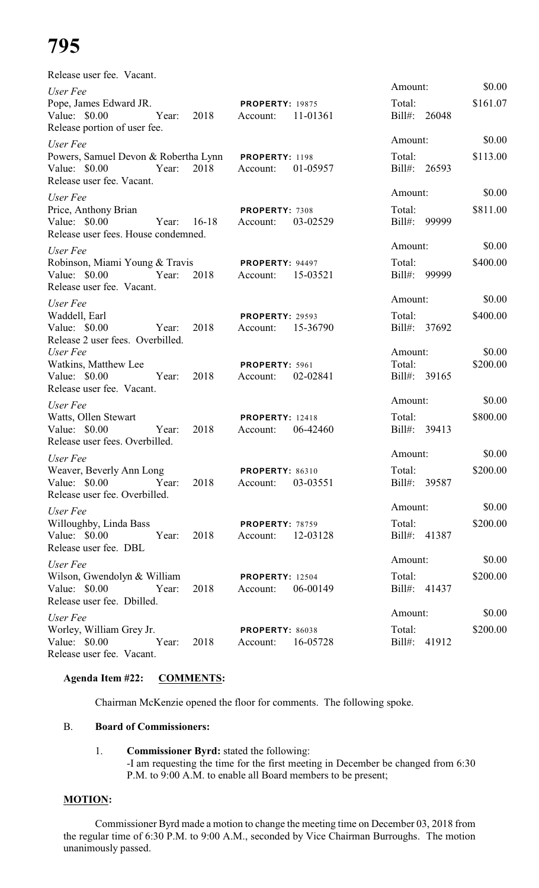| Release user fee. Vacant.                                                                           |                                                |                                   |                    |
|-----------------------------------------------------------------------------------------------------|------------------------------------------------|-----------------------------------|--------------------|
| User Fee                                                                                            |                                                | Amount:                           | \$0.00             |
| Pope, James Edward JR.<br>Value: \$0.00<br>2018<br>Year:<br>Release portion of user fee.            | <b>PROPERTY: 19875</b><br>11-01361<br>Account: | Total:<br>Bill#: 26048            | \$161.07           |
| User Fee                                                                                            |                                                | Amount:                           | \$0.00             |
| Powers, Samuel Devon & Robertha Lynn<br>2018<br>Value: \$0.00<br>Year:<br>Release user fee. Vacant. | PROPERTY: 1198<br>01-05957<br>Account:         | Total:<br>Bill#: 26593            | \$113.00           |
| User Fee                                                                                            |                                                | Amount:                           | \$0.00             |
| Price, Anthony Brian<br>Value: $$0.00$<br>$16-18$<br>Year:<br>Release user fees. House condemned.   | PROPERTY: 7308<br>03-02529<br>Account:         | Total:<br>Bill#:<br>99999         | \$811.00           |
| User Fee                                                                                            |                                                | Amount:                           | \$0.00             |
| Robinson, Miami Young & Travis<br>Value: \$0.00<br>2018<br>Year:<br>Release user fee. Vacant.       | <b>PROPERTY: 94497</b><br>15-03521<br>Account: | Total:<br>Bill#:<br>99999         | \$400.00           |
| User Fee                                                                                            |                                                | Amount:                           | \$0.00             |
| Waddell, Earl<br>Value: \$0.00<br>2018<br>Year:<br>Release 2 user fees. Overbilled.                 | <b>PROPERTY: 29593</b><br>15-36790<br>Account: | Total:<br>Bill#: 37692            | \$400.00           |
| User Fee<br>Watkins, Matthew Lee<br>Value: \$0.00<br>2018<br>Year:<br>Release user fee. Vacant.     | PROPERTY: 5961<br>02-02841<br>Account:         | Amount:<br>Total:<br>Bill#: 39165 | \$0.00<br>\$200.00 |
| User Fee                                                                                            |                                                | Amount:                           | \$0.00             |
| Watts, Ollen Stewart<br>2018<br>Value: \$0.00<br>Year:<br>Release user fees. Overbilled.            | <b>PROPERTY: 12418</b><br>06-42460<br>Account: | Total:<br>Bill#:<br>39413         | \$800.00           |
| User Fee                                                                                            |                                                | Amount:                           | \$0.00             |
| Weaver, Beverly Ann Long<br>Value: $$0.00$<br>Year:<br>2018<br>Release user fee. Overbilled.        | PROPERTY: 86310<br>03-03551<br>Account:        | Total:<br>Bill#: 39587            | \$200.00           |
| User Fee                                                                                            |                                                | Amount:                           | \$0.00             |
| Willoughby, Linda Bass<br>Value: $$0.00$<br>2018<br>Year:<br>Release user fee. DBL                  | <b>PROPERTY: 78759</b><br>12-03128<br>Account: | Total:<br>Bill#: 41387            | \$200.00           |
| User Fee                                                                                            |                                                | Amount:                           | \$0.00             |
| Wilson, Gwendolyn & William<br>Value: $$0.00$<br>Year:<br>2018<br>Release user fee. Dbilled.        | <b>PROPERTY: 12504</b><br>06-00149<br>Account: | Total:<br>Bill#: 41437            | \$200.00           |
| User Fee                                                                                            |                                                | Amount:                           | \$0.00             |
| Worley, William Grey Jr.<br>Value: \$0.00<br>Year:<br>2018<br>Release user fee. Vacant.             | PROPERTY: 86038<br>16-05728<br>Account:        | Total:<br>Bill#: 41912            | \$200.00           |

### **Agenda Item #22: COMMENTS:**

Chairman McKenzie opened the floor for comments. The following spoke.

### B. **Board of Commissioners:**

#### 1. **Commissioner Byrd:** stated the following: -I am requesting the time for the first meeting in December be changed from 6:30 P.M. to 9:00 A.M. to enable all Board members to be present;

### **MOTION:**

Commissioner Byrd made a motion to change the meeting time on December 03, 2018 from the regular time of 6:30 P.M. to 9:00 A.M., seconded by Vice Chairman Burroughs. The motion unanimously passed.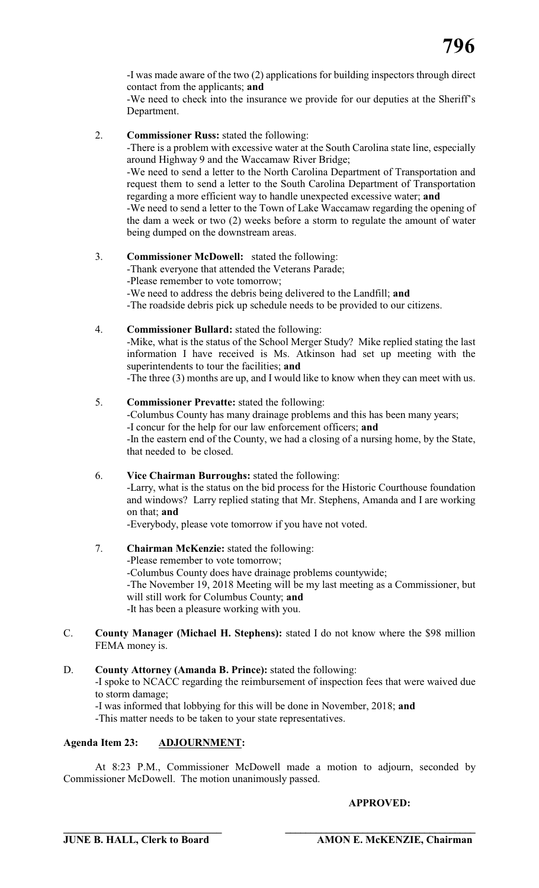-I was made aware of the two (2) applications for building inspectors through direct contact from the applicants; **and**

-We need to check into the insurance we provide for our deputies at the Sheriff's Department.

2. **Commissioner Russ:** stated the following:

-There is a problem with excessive water at the South Carolina state line, especially around Highway 9 and the Waccamaw River Bridge;

-We need to send a letter to the North Carolina Department of Transportation and request them to send a letter to the South Carolina Department of Transportation regarding a more efficient way to handle unexpected excessive water; **and** -We need to send a letter to the Town of Lake Waccamaw regarding the opening of the dam a week or two (2) weeks before a storm to regulate the amount of water being dumped on the downstream areas.

#### 3. **Commissioner McDowell:** stated the following:

- -Thank everyone that attended the Veterans Parade;
- -Please remember to vote tomorrow;
- -We need to address the debris being delivered to the Landfill; **and**
- -The roadside debris pick up schedule needs to be provided to our citizens.

#### 4. **Commissioner Bullard:** stated the following:

-Mike, what is the status of the School Merger Study? Mike replied stating the last information I have received is Ms. Atkinson had set up meeting with the superintendents to tour the facilities; **and**

-The three (3) months are up, and I would like to know when they can meet with us.

- 5. **Commissioner Prevatte:** stated the following: -Columbus County has many drainage problems and this has been many years; -I concur for the help for our law enforcement officers; **and** -In the eastern end of the County, we had a closing of a nursing home, by the State, that needed to be closed.
- 6. **Vice Chairman Burroughs:** stated the following: -Larry, what is the status on the bid process for the Historic Courthouse foundation and windows? Larry replied stating that Mr. Stephens, Amanda and I are working on that; **and**

-Everybody, please vote tomorrow if you have not voted.

7. **Chairman McKenzie:** stated the following:

-Please remember to vote tomorrow;

-Columbus County does have drainage problems countywide;

-The November 19, 2018 Meeting will be my last meeting as a Commissioner, but will still work for Columbus County; **and**

-It has been a pleasure working with you.

- C. **County Manager (Michael H. Stephens):** stated I do not know where the \$98 million FEMA money is.
- D. **County Attorney (Amanda B. Prince):** stated the following: -I spoke to NCACC regarding the reimbursement of inspection fees that were waived due to storm damage; -I was informed that lobbying for this will be done in November, 2018; **and** -This matter needs to be taken to your state representatives.

### **Agenda Item 23: ADJOURNMENT:**

At 8:23 P.M., Commissioner McDowell made a motion to adjourn, seconded by Commissioner McDowell. The motion unanimously passed.

**\_\_\_\_\_\_\_\_\_\_\_\_\_\_\_\_\_\_\_\_\_\_\_\_\_\_\_\_\_\_ \_\_\_\_\_\_\_\_\_\_\_\_\_\_\_\_\_\_\_\_\_\_\_\_\_\_\_\_\_\_\_\_\_\_\_\_\_**

#### **APPROVED:**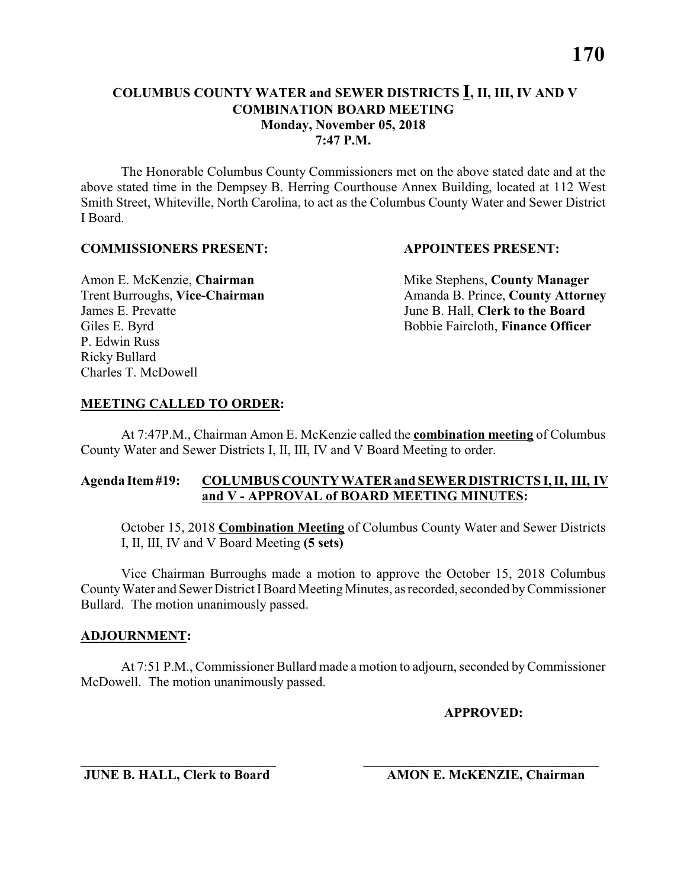**7:47 P.M.**

The Honorable Columbus County Commissioners met on the above stated date and at the above stated time in the Dempsey B. Herring Courthouse Annex Building, located at 112 West Smith Street, Whiteville, North Carolina, to act as the Columbus County Water and Sewer District I Board.

#### **COMMISSIONERS PRESENT: APPOINTEES PRESENT:**

James E. Prevatte June B. Hall, **Clerk to the Board** P. Edwin Russ Ricky Bullard Charles T. McDowell

Amon E. McKenzie, **Chairman** Mike Stephens, **County Manager** Trent Burroughs, Vice-Chairman Amanda B. Prince, County Attorney Giles E. Byrd **Bobbie Faircloth, Finance Officer** 

#### **MEETING CALLED TO ORDER:**

At 7:47P.M., Chairman Amon E. McKenzie called the **combination meeting** of Columbus County Water and Sewer Districts I, II, III, IV and V Board Meeting to order.

#### **Agenda Item #19: COLUMBUS COUNTY WATER and SEWER DISTRICTS I, II, III, IV and V - APPROVAL of BOARD MEETING MINUTES:**

October 15, 2018 **Combination Meeting** of Columbus County Water and Sewer Districts I, II, III, IV and V Board Meeting **(5 sets)**

Vice Chairman Burroughs made a motion to approve the October 15, 2018 Columbus County Water and Sewer District I Board Meeting Minutes, as recorded, seconded by Commissioner Bullard. The motion unanimously passed.

#### **ADJOURNMENT:**

At 7:51 P.M., Commissioner Bullard made a motion to adjourn, seconded by Commissioner McDowell. The motion unanimously passed.

\_\_\_\_\_\_\_\_\_\_\_\_\_\_\_\_\_\_\_\_\_\_\_\_\_\_\_\_\_ \_\_\_\_\_\_\_\_\_\_\_\_\_\_\_\_\_\_\_\_\_\_\_\_\_\_\_\_\_\_\_\_\_\_\_

**APPROVED:**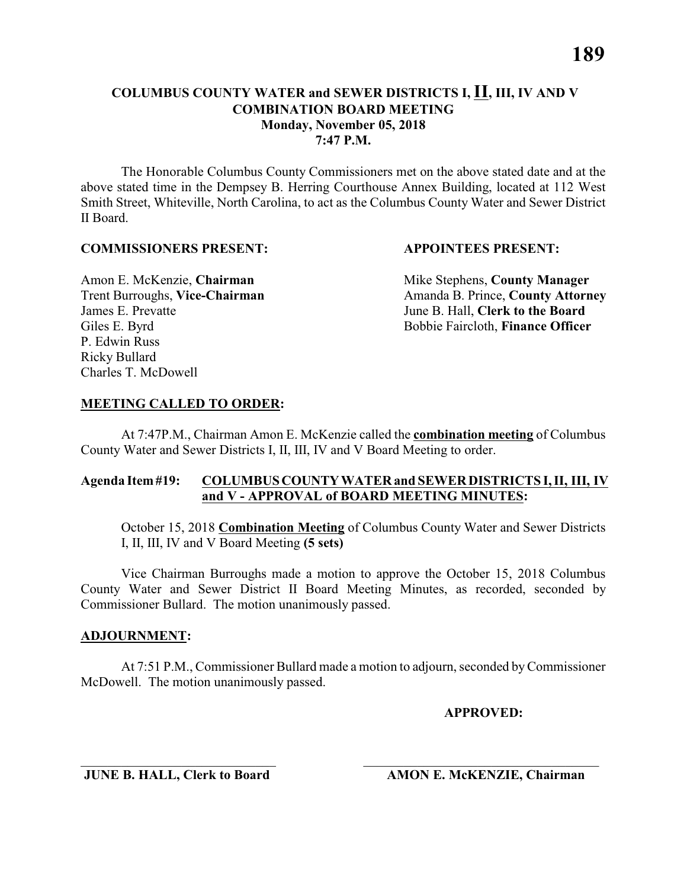#### **COMBINATION BOARD MEETING Monday, November 05, 2018**

**7:47 P.M.**

The Honorable Columbus County Commissioners met on the above stated date and at the above stated time in the Dempsey B. Herring Courthouse Annex Building, located at 112 West Smith Street, Whiteville, North Carolina, to act as the Columbus County Water and Sewer District II Board.

#### **COMMISSIONERS PRESENT: APPOINTEES PRESENT:**

Amon E. McKenzie, **Chairman** Mike Stephens, **County Manager** James E. Prevatte June B. Hall, **Clerk to the Board** P. Edwin Russ Ricky Bullard Charles T. McDowell

Trent Burroughs, Vice-Chairman Amanda B. Prince, County Attorney Giles E. Byrd **Bobbie Faircloth, Finance Officer** 

#### **MEETING CALLED TO ORDER:**

At 7:47P.M., Chairman Amon E. McKenzie called the **combination meeting** of Columbus County Water and Sewer Districts I, II, III, IV and V Board Meeting to order.

#### **Agenda Item #19: COLUMBUS COUNTY WATER and SEWER DISTRICTS I, II, III, IV and V - APPROVAL of BOARD MEETING MINUTES:**

October 15, 2018 **Combination Meeting** of Columbus County Water and Sewer Districts I, II, III, IV and V Board Meeting **(5 sets)**

Vice Chairman Burroughs made a motion to approve the October 15, 2018 Columbus County Water and Sewer District II Board Meeting Minutes, as recorded, seconded by Commissioner Bullard. The motion unanimously passed.

#### **ADJOURNMENT:**

At 7:51 P.M., Commissioner Bullard made a motion to adjourn, seconded by Commissioner McDowell. The motion unanimously passed.

\_\_\_\_\_\_\_\_\_\_\_\_\_\_\_\_\_\_\_\_\_\_\_\_\_\_\_\_\_ \_\_\_\_\_\_\_\_\_\_\_\_\_\_\_\_\_\_\_\_\_\_\_\_\_\_\_\_\_\_\_\_\_\_\_

**APPROVED:**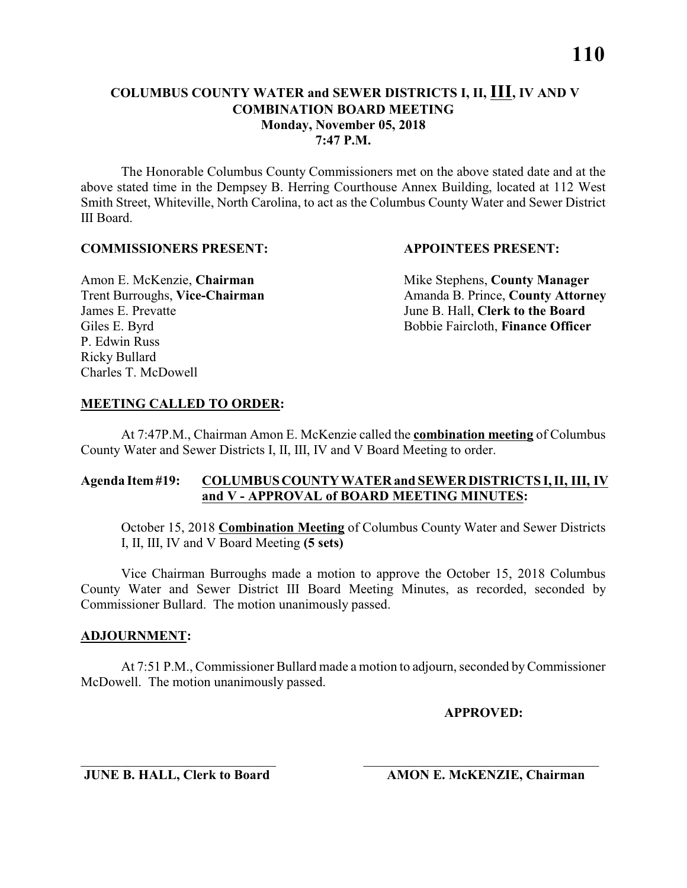#### **COLUMBUS COUNTY WATER and SEWER DISTRICTS I, II, III, IV AND V COMBINATION BOARD MEETING Monday, November 05, 2018 7:47 P.M.**

The Honorable Columbus County Commissioners met on the above stated date and at the above stated time in the Dempsey B. Herring Courthouse Annex Building, located at 112 West Smith Street, Whiteville, North Carolina, to act as the Columbus County Water and Sewer District III Board.

#### **COMMISSIONERS PRESENT: APPOINTEES PRESENT:**

James E. Prevatte June B. Hall, **Clerk to the Board** P. Edwin Russ Ricky Bullard Charles T. McDowell

Amon E. McKenzie, **Chairman** Mike Stephens, **County Manager** Trent Burroughs, Vice-Chairman Amanda B. Prince, County Attorney Giles E. Byrd **Bobbie Faircloth, Finance Officer** 

#### **MEETING CALLED TO ORDER:**

At 7:47P.M., Chairman Amon E. McKenzie called the **combination meeting** of Columbus County Water and Sewer Districts I, II, III, IV and V Board Meeting to order.

#### **Agenda Item #19: COLUMBUS COUNTY WATER and SEWER DISTRICTS I, II, III, IV and V - APPROVAL of BOARD MEETING MINUTES:**

October 15, 2018 **Combination Meeting** of Columbus County Water and Sewer Districts I, II, III, IV and V Board Meeting **(5 sets)**

Vice Chairman Burroughs made a motion to approve the October 15, 2018 Columbus County Water and Sewer District III Board Meeting Minutes, as recorded, seconded by Commissioner Bullard. The motion unanimously passed.

#### **ADJOURNMENT:**

At 7:51 P.M., Commissioner Bullard made a motion to adjourn, seconded by Commissioner McDowell. The motion unanimously passed.

\_\_\_\_\_\_\_\_\_\_\_\_\_\_\_\_\_\_\_\_\_\_\_\_\_\_\_\_\_ \_\_\_\_\_\_\_\_\_\_\_\_\_\_\_\_\_\_\_\_\_\_\_\_\_\_\_\_\_\_\_\_\_\_\_

**APPROVED:**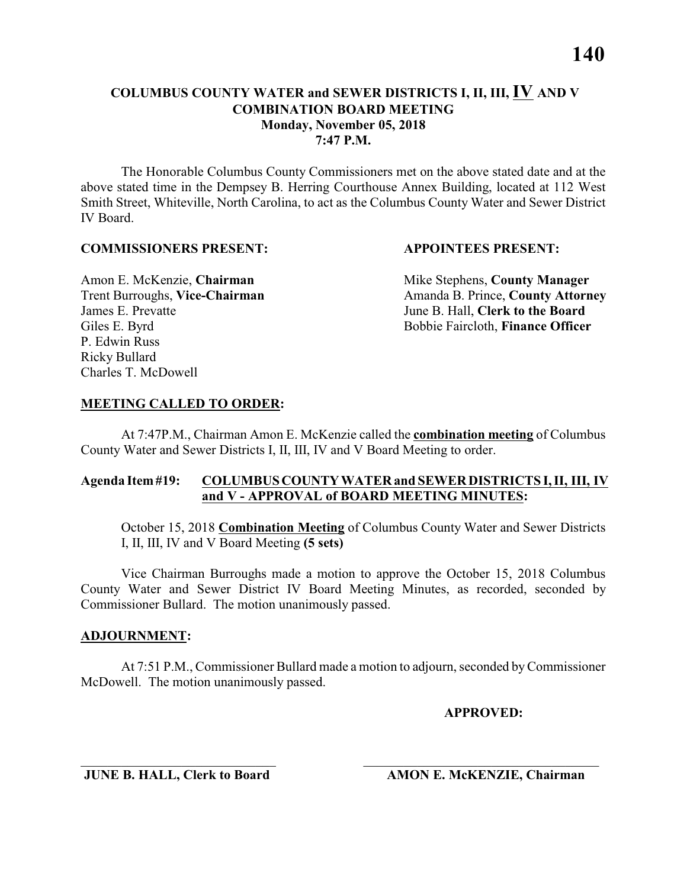#### **COLUMBUS COUNTY WATER and SEWER DISTRICTS I, II, III, IV AND V COMBINATION BOARD MEETING Monday, November 05, 2018 7:47 P.M.**

The Honorable Columbus County Commissioners met on the above stated date and at the above stated time in the Dempsey B. Herring Courthouse Annex Building, located at 112 West Smith Street, Whiteville, North Carolina, to act as the Columbus County Water and Sewer District IV Board.

#### **COMMISSIONERS PRESENT: APPOINTEES PRESENT:**

James E. Prevatte June B. Hall, **Clerk to the Board** P. Edwin Russ Ricky Bullard Charles T. McDowell

Amon E. McKenzie, **Chairman** Mike Stephens, **County Manager** Trent Burroughs, Vice-Chairman Amanda B. Prince, County Attorney Giles E. Byrd **Bobbie Faircloth, Finance Officer** 

#### **MEETING CALLED TO ORDER:**

At 7:47P.M., Chairman Amon E. McKenzie called the **combination meeting** of Columbus County Water and Sewer Districts I, II, III, IV and V Board Meeting to order.

#### **Agenda Item #19: COLUMBUS COUNTY WATER and SEWER DISTRICTS I, II, III, IV and V - APPROVAL of BOARD MEETING MINUTES:**

October 15, 2018 **Combination Meeting** of Columbus County Water and Sewer Districts I, II, III, IV and V Board Meeting **(5 sets)**

Vice Chairman Burroughs made a motion to approve the October 15, 2018 Columbus County Water and Sewer District IV Board Meeting Minutes, as recorded, seconded by Commissioner Bullard. The motion unanimously passed.

#### **ADJOURNMENT:**

At 7:51 P.M., Commissioner Bullard made a motion to adjourn, seconded by Commissioner McDowell. The motion unanimously passed.

\_\_\_\_\_\_\_\_\_\_\_\_\_\_\_\_\_\_\_\_\_\_\_\_\_\_\_\_\_ \_\_\_\_\_\_\_\_\_\_\_\_\_\_\_\_\_\_\_\_\_\_\_\_\_\_\_\_\_\_\_\_\_\_\_

**APPROVED:**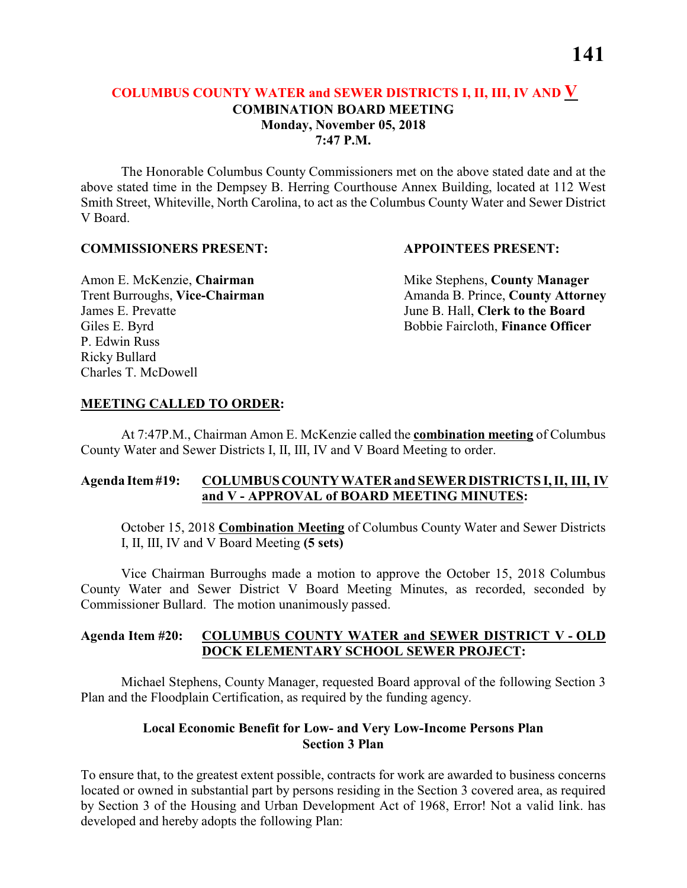#### **COLUMBUS COUNTY WATER and SEWER DISTRICTS I, II, III, IV AND V COMBINATION BOARD MEETING Monday, November 05, 2018 7:47 P.M.**

The Honorable Columbus County Commissioners met on the above stated date and at the above stated time in the Dempsey B. Herring Courthouse Annex Building, located at 112 West Smith Street, Whiteville, North Carolina, to act as the Columbus County Water and Sewer District V Board.

#### **COMMISSIONERS PRESENT: APPOINTEES PRESENT:**

James E. Prevatte June B. Hall, **Clerk to the Board** P. Edwin Russ Ricky Bullard Charles T. McDowell

Amon E. McKenzie, **Chairman** Mike Stephens, **County Manager** Trent Burroughs, Vice-Chairman Amanda B. Prince, County Attorney Giles E. Byrd **Bobbie Faircloth, Finance Officer** 

#### **MEETING CALLED TO ORDER:**

At 7:47P.M., Chairman Amon E. McKenzie called the **combination meeting** of Columbus County Water and Sewer Districts I, II, III, IV and V Board Meeting to order.

#### **Agenda Item #19: COLUMBUS COUNTY WATER and SEWER DISTRICTS I, II, III, IV and V - APPROVAL of BOARD MEETING MINUTES:**

October 15, 2018 **Combination Meeting** of Columbus County Water and Sewer Districts I, II, III, IV and V Board Meeting **(5 sets)**

Vice Chairman Burroughs made a motion to approve the October 15, 2018 Columbus County Water and Sewer District V Board Meeting Minutes, as recorded, seconded by Commissioner Bullard. The motion unanimously passed.

#### **Agenda Item #20: COLUMBUS COUNTY WATER and SEWER DISTRICT V - OLD DOCK ELEMENTARY SCHOOL SEWER PROJECT:**

Michael Stephens, County Manager, requested Board approval of the following Section 3 Plan and the Floodplain Certification, as required by the funding agency.

#### **Local Economic Benefit for Low- and Very Low-Income Persons Plan Section 3 Plan**

To ensure that, to the greatest extent possible, contracts for work are awarded to business concerns located or owned in substantial part by persons residing in the Section 3 covered area, as required by Section 3 of the Housing and Urban Development Act of 1968, Error! Not a valid link. has developed and hereby adopts the following Plan: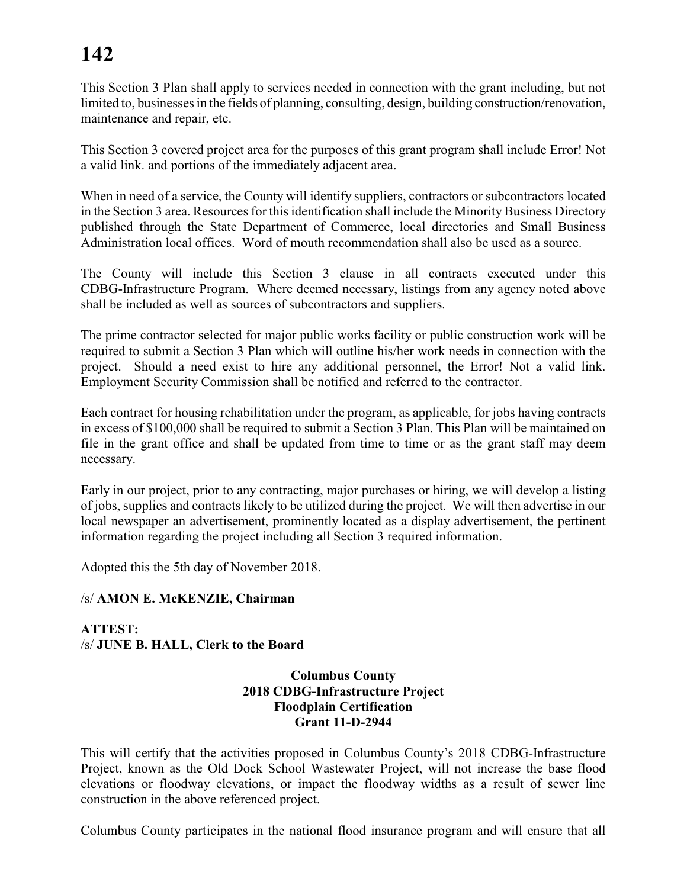This Section 3 Plan shall apply to services needed in connection with the grant including, but not limited to, businesses in the fields of planning, consulting, design, building construction/renovation, maintenance and repair, etc.

This Section 3 covered project area for the purposes of this grant program shall include Error! Not a valid link. and portions of the immediately adjacent area.

When in need of a service, the County will identify suppliers, contractors or subcontractors located in the Section 3 area. Resources for this identification shall include the Minority Business Directory published through the State Department of Commerce, local directories and Small Business Administration local offices. Word of mouth recommendation shall also be used as a source.

The County will include this Section 3 clause in all contracts executed under this CDBG-Infrastructure Program. Where deemed necessary, listings from any agency noted above shall be included as well as sources of subcontractors and suppliers.

The prime contractor selected for major public works facility or public construction work will be required to submit a Section 3 Plan which will outline his/her work needs in connection with the project. Should a need exist to hire any additional personnel, the Error! Not a valid link. Employment Security Commission shall be notified and referred to the contractor.

Each contract for housing rehabilitation under the program, as applicable, for jobs having contracts in excess of \$100,000 shall be required to submit a Section 3 Plan. This Plan will be maintained on file in the grant office and shall be updated from time to time or as the grant staff may deem necessary.

Early in our project, prior to any contracting, major purchases or hiring, we will develop a listing of jobs, supplies and contracts likely to be utilized during the project. We will then advertise in our local newspaper an advertisement, prominently located as a display advertisement, the pertinent information regarding the project including all Section 3 required information.

Adopted this the 5th day of November 2018.

#### /s/ **AMON E. McKENZIE, Chairman**

**ATTEST:** /s/ **JUNE B. HALL, Clerk to the Board**

#### **Columbus County 2018 CDBG-Infrastructure Project Floodplain Certification Grant 11-D-2944**

This will certify that the activities proposed in Columbus County's 2018 CDBG-Infrastructure Project, known as the Old Dock School Wastewater Project, will not increase the base flood elevations or floodway elevations, or impact the floodway widths as a result of sewer line construction in the above referenced project.

Columbus County participates in the national flood insurance program and will ensure that all